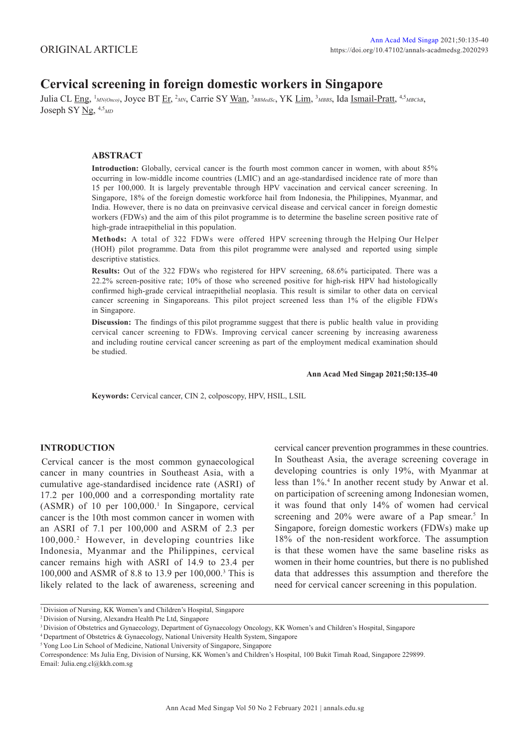# **Cervical screening in foreign domestic workers in Singapore**

Julia CL Eng, <sup>1</sup>MN(Onco), Joyce BT Er, <sup>2</sup>MN, Carrie SY <u>Wan</u>, <sup>3</sup>BBMedSc, YK Lim, <sup>3</sup>MBBS, Ida Ismail-Pratt, <sup>4,5</sup>MBChB, Joseph SY Ng, 4,5*MD*

## **ABSTRACT**

**Introduction:** Globally, cervical cancer is the fourth most common cancer in women, with about 85% occurring in low-middle income countries (LMIC) and an age-standardised incidence rate of more than 15 per 100,000. It is largely preventable through HPV vaccination and cervical cancer screening. In Singapore, 18% of the foreign domestic workforce hail from Indonesia, the Philippines, Myanmar, and India. However, there is no data on preinvasive cervical disease and cervical cancer in foreign domestic workers (FDWs) and the aim of this pilot programme is to determine the baseline screen positive rate of high-grade intraepithelial in this population.

**Methods:** A total of 322 FDWs were offered HPV screening through the Helping Our Helper (HOH) pilot programme. Data from this pilot programme were analysed and reported using simple descriptive statistics.

**Results:** Out of the 322 FDWs who registered for HPV screening, 68.6% participated. There was a 22.2% screen-positive rate; 10% of those who screened positive for high-risk HPV had histologically confirmed high-grade cervical intraepithelial neoplasia. This result is similar to other data on cervical cancer screening in Singaporeans. This pilot project screened less than 1% of the eligible FDWs in Singapore.

**Discussion:** The findings of this pilot programme suggest that there is public health value in providing cervical cancer screening to FDWs. Improving cervical cancer screening by increasing awareness and including routine cervical cancer screening as part of the employment medical examination should be studied.

#### **Ann Acad Med Singap 2021;50:135-40**

**Keywords:** Cervical cancer, CIN 2, colposcopy, HPV, HSIL, LSIL

## **INTRODUCTION**

Cervical cancer is the most common gynaecological cancer in many countries in Southeast Asia, with a cumulative age-standardised incidence rate (ASRI) of 17.2 per 100,000 and a corresponding mortality rate (ASMR) of 10 per 100,000.<sup>1</sup> In Singapore, cervical cancer is the 10th most common cancer in women with an ASRI of 7.1 per 100,000 and ASRM of 2.3 per 100,000.2 However, in developing countries like Indonesia, Myanmar and the Philippines, cervical cancer remains high with ASRI of 14.9 to 23.4 per 100,000 and ASMR of 8.8 to 13.9 per 100,000.3 This is likely related to the lack of awareness, screening and cervical cancer prevention programmes in these countries. In Southeast Asia, the average screening coverage in developing countries is only 19%, with Myanmar at less than 1%.4 In another recent study by Anwar et al. on participation of screening among Indonesian women, it was found that only 14% of women had cervical screening and 20% were aware of a Pap smear.<sup>5</sup> In Singapore, foreign domestic workers (FDWs) make up 18% of the non-resident workforce. The assumption is that these women have the same baseline risks as women in their home countries, but there is no published data that addresses this assumption and therefore the need for cervical cancer screening in this population.

<sup>1</sup> Division of Nursing, KK Women's and Children's Hospital, Singapore

<sup>2</sup> Division of Nursing, Alexandra Health Pte Ltd, Singapore

<sup>3</sup> Division of Obstetrics and Gynaecology, Department of Gynaecology Oncology, KK Women's and Children's Hospital, Singapore

<sup>4</sup> Department of Obstetrics & Gynaecology, National University Health System, Singapore

<sup>&</sup>lt;sup>5</sup> Yong Loo Lin School of Medicine, National University of Singapore, Singapore

Correspondence: Ms Julia Eng, Division of Nursing, KK Women's and Children's Hospital, 100 Bukit Timah Road, Singapore 229899. Email: Julia.eng.cl@kkh.com.sg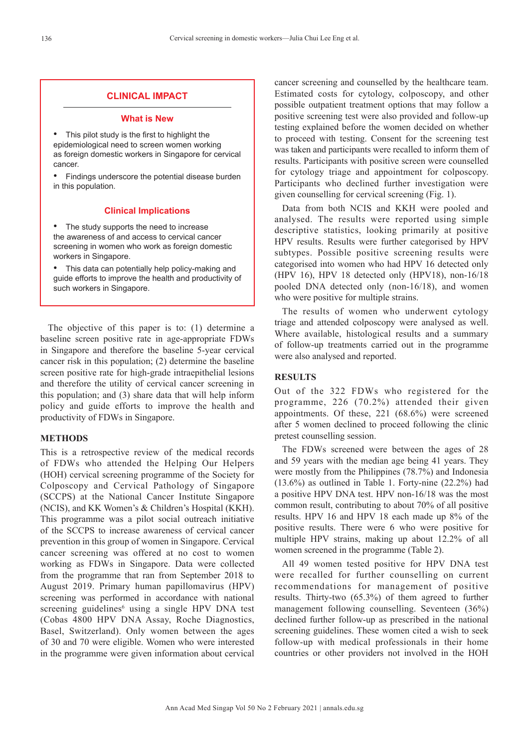## **CLINICAL IMPACT**

#### **What is New**

This pilot study is the first to highlight the epidemiological need to screen women working as foreign domestic workers in Singapore for cervical cancer.

• Findings underscore the potential disease burden in this population.

#### **Clinical Implications**

The study supports the need to increase the awareness of and access to cervical cancer screening in women who work as foreign domestic workers in Singapore.

• This data can potentially help policy-making and guide efforts to improve the health and productivity of such workers in Singapore.

The objective of this paper is to: (1) determine a baseline screen positive rate in age-appropriate FDWs in Singapore and therefore the baseline 5-year cervical cancer risk in this population; (2) determine the baseline screen positive rate for high-grade intraepithelial lesions and therefore the utility of cervical cancer screening in this population; and (3) share data that will help inform policy and guide efforts to improve the health and productivity of FDWs in Singapore.

### **METHODS**

This is a retrospective review of the medical records of FDWs who attended the Helping Our Helpers (HOH) cervical screening programme of the Society for Colposcopy and Cervical Pathology of Singapore (SCCPS) at the National Cancer Institute Singapore (NCIS), and KK Women's & Children's Hospital (KKH). This programme was a pilot social outreach initiative of the SCCPS to increase awareness of cervical cancer prevention in this group of women in Singapore. Cervical cancer screening was offered at no cost to women working as FDWs in Singapore. Data were collected from the programme that ran from September 2018 to August 2019. Primary human papillomavirus (HPV) screening was performed in accordance with national screening guidelines<sup>6</sup> using a single HPV DNA test (Cobas 4800 HPV DNA Assay, Roche Diagnostics, Basel, Switzerland). Only women between the ages of 30 and 70 were eligible. Women who were interested in the programme were given information about cervical cancer screening and counselled by the healthcare team. Estimated costs for cytology, colposcopy, and other possible outpatient treatment options that may follow a positive screening test were also provided and follow-up testing explained before the women decided on whether to proceed with testing. Consent for the screening test was taken and participants were recalled to inform them of results. Participants with positive screen were counselled for cytology triage and appointment for colposcopy. Participants who declined further investigation were given counselling for cervical screening (Fig. 1).

Data from both NCIS and KKH were pooled and analysed. The results were reported using simple descriptive statistics, looking primarily at positive HPV results. Results were further categorised by HPV subtypes. Possible positive screening results were categorised into women who had HPV 16 detected only (HPV 16), HPV 18 detected only (HPV18), non-16/18 pooled DNA detected only (non-16/18), and women who were positive for multiple strains.

The results of women who underwent cytology triage and attended colposcopy were analysed as well. Where available, histological results and a summary of follow-up treatments carried out in the programme were also analysed and reported.

## **RESULTS**

Out of the 322 FDWs who registered for the programme, 226 (70.2%) attended their given appointments. Of these, 221 (68.6%) were screened after 5 women declined to proceed following the clinic pretest counselling session.

The FDWs screened were between the ages of 28 and 59 years with the median age being 41 years. They were mostly from the Philippines (78.7%) and Indonesia (13.6%) as outlined in Table 1. Forty-nine (22.2%) had a positive HPV DNA test. HPV non-16/18 was the most common result, contributing to about 70% of all positive results. HPV 16 and HPV 18 each made up 8% of the positive results. There were 6 who were positive for multiple HPV strains, making up about 12.2% of all women screened in the programme (Table 2).

All 49 women tested positive for HPV DNA test were recalled for further counselling on current recommendations for management of positive results. Thirty-two (65.3%) of them agreed to further management following counselling. Seventeen (36%) declined further follow-up as prescribed in the national screening guidelines. These women cited a wish to seek follow-up with medical professionals in their home countries or other providers not involved in the HOH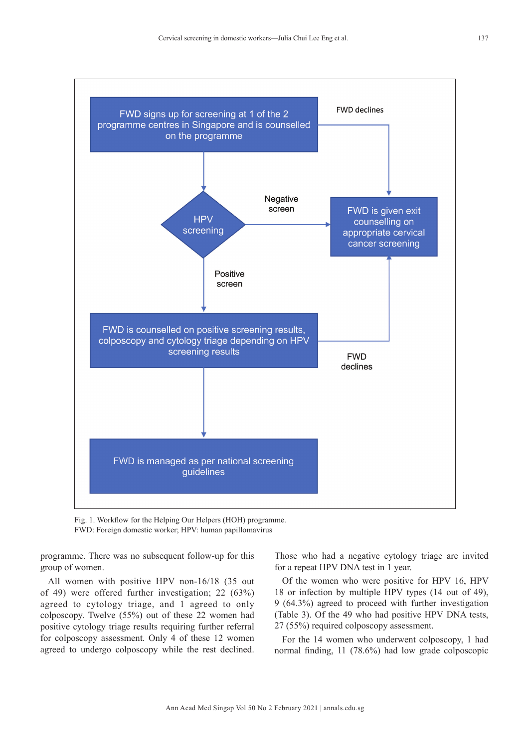

Fig. 1. Workflow for the Helping Our Helpers (HOH) programme. FWD: Foreign domestic worker; HPV: human papillomavirus

programme. There was no subsequent follow-up for this group of women.

All women with positive HPV non-16/18 (35 out of 49) were offered further investigation; 22 (63%) agreed to cytology triage, and 1 agreed to only colposcopy. Twelve (55%) out of these 22 women had positive cytology triage results requiring further referral for colposcopy assessment. Only 4 of these 12 women agreed to undergo colposcopy while the rest declined. Those who had a negative cytology triage are invited for a repeat HPV DNA test in 1 year.

Of the women who were positive for HPV 16, HPV 18 or infection by multiple HPV types (14 out of 49), 9 (64.3%) agreed to proceed with further investigation (Table 3). Of the 49 who had positive HPV DNA tests, 27 (55%) required colposcopy assessment.

For the 14 women who underwent colposcopy, 1 had normal finding, 11 (78.6%) had low grade colposcopic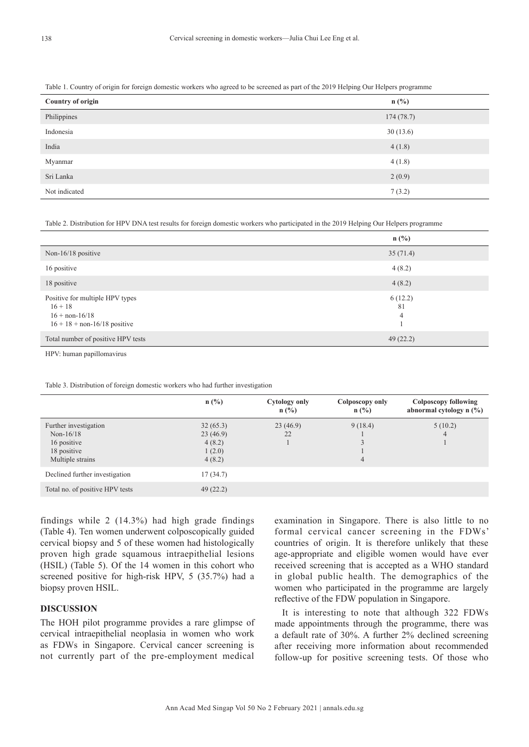| <b>Country of origin</b> | $n$ (%)   |
|--------------------------|-----------|
| Philippines              | 174(78.7) |
| Indonesia                | 30(13.6)  |
| India                    | 4(1.8)    |
| Myanmar                  | 4(1.8)    |
| Sri Lanka                | 2(0.9)    |
| Not indicated            | 7(3.2)    |

Table 2. Distribution for HPV DNA test results for foreign domestic workers who participated in the 2019 Helping Our Helpers programme

|                                                                                                                  | $n$ (%)            |
|------------------------------------------------------------------------------------------------------------------|--------------------|
| Non-16/18 positive                                                                                               | 35(71.4)           |
| 16 positive                                                                                                      | 4(8.2)             |
| 18 positive                                                                                                      | 4(8.2)             |
| Positive for multiple HPV types<br>$16 + 18$<br>$16 + \text{non-}16/18$<br>$16 + 18 + \text{non-}16/18$ positive | 6(12.2)<br>81<br>4 |
| Total number of positive HPV tests                                                                               | 49(22.2)           |

HPV: human papillomavirus

Table 3. Distribution of foreign domestic workers who had further investigation

|                                 | n(%)     | <b>Cytology only</b><br>$n$ (%) | Colposcopy only<br>$n$ (%) | Colposcopy following<br>abnormal cytology n (%) |
|---------------------------------|----------|---------------------------------|----------------------------|-------------------------------------------------|
| Further investigation           | 32(65.3) | 23(46.9)                        | 9(18.4)                    | 5(10.2)                                         |
| Non- $16/18$                    | 23(46.9) | 22                              |                            | 4                                               |
| 16 positive                     | 4(8.2)   |                                 |                            |                                                 |
| 18 positive                     | 1(2.0)   |                                 |                            |                                                 |
| Multiple strains                | 4(8.2)   |                                 | 4                          |                                                 |
| Declined further investigation  | 17(34.7) |                                 |                            |                                                 |
| Total no. of positive HPV tests | 49(22.2) |                                 |                            |                                                 |

findings while 2 (14.3%) had high grade findings (Table 4). Ten women underwent colposcopically guided cervical biopsy and 5 of these women had histologically proven high grade squamous intraepithelial lesions (HSIL) (Table 5). Of the 14 women in this cohort who screened positive for high-risk HPV, 5 (35.7%) had a biopsy proven HSIL.

## **DISCUSSION**

The HOH pilot programme provides a rare glimpse of cervical intraepithelial neoplasia in women who work as FDWs in Singapore. Cervical cancer screening is not currently part of the pre-employment medical

examination in Singapore. There is also little to no formal cervical cancer screening in the FDWs' countries of origin. It is therefore unlikely that these age-appropriate and eligible women would have ever received screening that is accepted as a WHO standard in global public health. The demographics of the women who participated in the programme are largely reflective of the FDW population in Singapore.

It is interesting to note that although 322 FDWs made appointments through the programme, there was a default rate of 30%. A further 2% declined screening after receiving more information about recommended follow-up for positive screening tests. Of those who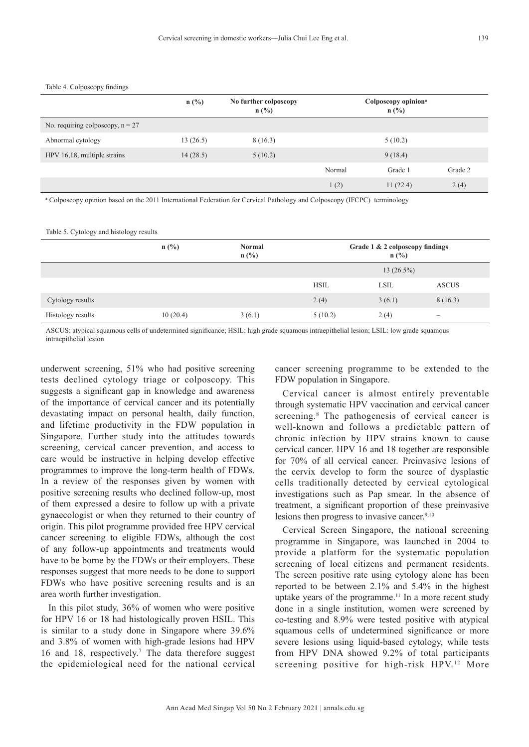#### Table 4. Colposcopy findings

|                                    | $n$ (%)  | No further colposcopy<br>$n(^{0}/_{0})$ | Colposcopy opinion <sup>a</sup><br>n(%) |          |         |
|------------------------------------|----------|-----------------------------------------|-----------------------------------------|----------|---------|
| No. requiring colposcopy, $n = 27$ |          |                                         |                                         |          |         |
| Abnormal cytology                  | 13(26.5) | 8 (16.3)                                |                                         | 5(10.2)  |         |
| HPV 16,18, multiple strains        | 14(28.5) | 5(10.2)                                 |                                         | 9(18.4)  |         |
|                                    |          |                                         | Normal                                  | Grade 1  | Grade 2 |
|                                    |          |                                         | 1(2)                                    | 11(22.4) | 2(4)    |

**<sup>a</sup>** Colposcopy opinion based on the 2011 International Federation for Cervical Pathology and Colposcopy (IFCPC) terminology

Table 5. Cytology and histology results

|                   | n(%)     | Normal<br>$n$ (%) | Grade 1 & 2 colposcopy findings<br>$n(^{0}/_{0})$ |             |                                                                           |
|-------------------|----------|-------------------|---------------------------------------------------|-------------|---------------------------------------------------------------------------|
|                   |          |                   | $13(26.5\%)$                                      |             |                                                                           |
|                   |          |                   | <b>HSIL</b>                                       | <b>LSIL</b> | <b>ASCUS</b>                                                              |
| Cytology results  |          |                   | 2(4)                                              | 3(6.1)      | 8(16.3)                                                                   |
| Histology results | 10(20.4) | 3(6.1)            | 5(10.2)                                           | 2(4)        | $\hspace{1.0cm} \rule{1.5cm}{0.15cm} \hspace{1.0cm} \rule{1.5cm}{0.15cm}$ |

ASCUS: atypical squamous cells of undetermined significance; HSIL: high grade squamous intraepithelial lesion; LSIL: low grade squamous intraepithelial lesion

underwent screening, 51% who had positive screening tests declined cytology triage or colposcopy. This suggests a significant gap in knowledge and awareness of the importance of cervical cancer and its potentially devastating impact on personal health, daily function, and lifetime productivity in the FDW population in Singapore. Further study into the attitudes towards screening, cervical cancer prevention, and access to care would be instructive in helping develop effective programmes to improve the long-term health of FDWs. In a review of the responses given by women with positive screening results who declined follow-up, most of them expressed a desire to follow up with a private gynaecologist or when they returned to their country of origin. This pilot programme provided free HPV cervical cancer screening to eligible FDWs, although the cost of any follow-up appointments and treatments would have to be borne by the FDWs or their employers. These responses suggest that more needs to be done to support FDWs who have positive screening results and is an area worth further investigation.

In this pilot study, 36% of women who were positive for HPV 16 or 18 had histologically proven HSIL. This is similar to a study done in Singapore where 39.6% and 3.8% of women with high-grade lesions had HPV 16 and 18, respectively.<sup>7</sup> The data therefore suggest the epidemiological need for the national cervical

cancer screening programme to be extended to the FDW population in Singapore.

Cervical cancer is almost entirely preventable through systematic HPV vaccination and cervical cancer screening.<sup>8</sup> The pathogenesis of cervical cancer is well-known and follows a predictable pattern of chronic infection by HPV strains known to cause cervical cancer. HPV 16 and 18 together are responsible for 70% of all cervical cancer. Preinvasive lesions of the cervix develop to form the source of dysplastic cells traditionally detected by cervical cytological investigations such as Pap smear. In the absence of treatment, a significant proportion of these preinvasive lesions then progress to invasive cancer.<sup>9,10</sup>

Cervical Screen Singapore, the national screening programme in Singapore, was launched in 2004 to provide a platform for the systematic population screening of local citizens and permanent residents. The screen positive rate using cytology alone has been reported to be between 2.1% and 5.4% in the highest uptake years of the programme.<sup>11</sup> In a more recent study done in a single institution, women were screened by co-testing and 8.9% were tested positive with atypical squamous cells of undetermined significance or more severe lesions using liquid-based cytology, while tests from HPV DNA showed 9.2% of total participants screening positive for high-risk HPV.<sup>12</sup> More